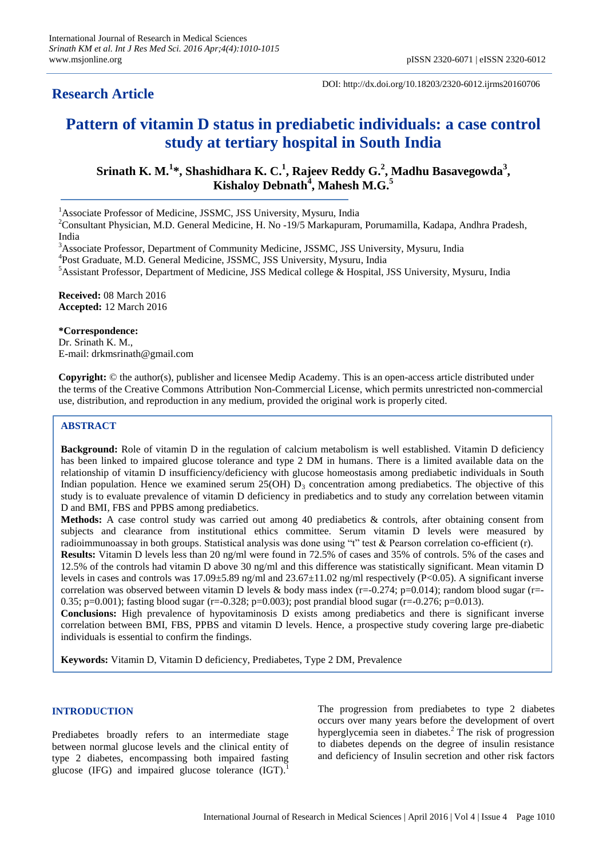## **Research Article**

DOI: http://dx.doi.org/10.18203/2320-6012.ijrms20160706

# **Pattern of vitamin D status in prediabetic individuals: a case control study at tertiary hospital in South India**

**Srinath K. M. 1 \*, Shashidhara K. C. 1 , Rajeev Reddy G. 2 , Madhu Basavegowda<sup>3</sup> , Kishaloy Debnath<sup>4</sup> , Mahesh M.G. 5**

<sup>1</sup>Associate Professor of Medicine, JSSMC, JSS University, Mysuru, India

<sup>2</sup>Consultant Physician, M.D. General Medicine, H. No -19/5 Markapuram, Porumamilla, Kadapa, Andhra Pradesh, India

<sup>3</sup>Associate Professor, Department of Community Medicine, JSSMC, JSS University, Mysuru, India

4 Post Graduate, M.D. General Medicine, JSSMC, JSS University, Mysuru, India

<sup>5</sup>Assistant Professor, Department of Medicine, JSS Medical college & Hospital, JSS University, Mysuru, India

**Received:** 08 March 2016 **Accepted:** 12 March 2016

#### **\*Correspondence:**

Dr. Srinath K. M., E-mail: drkmsrinath@gmail.com

**Copyright:** © the author(s), publisher and licensee Medip Academy. This is an open-access article distributed under the terms of the Creative Commons Attribution Non-Commercial License, which permits unrestricted non-commercial use, distribution, and reproduction in any medium, provided the original work is properly cited.

#### **ABSTRACT**

**Background:** Role of vitamin D in the regulation of calcium metabolism is well established. Vitamin D deficiency has been linked to impaired glucose tolerance and type 2 DM in humans. There is a limited available data on the relationship of vitamin D insufficiency/deficiency with glucose homeostasis among prediabetic individuals in South Indian population. Hence we examined serum  $25(OH) D<sub>3</sub>$  concentration among prediabetics. The objective of this study is to evaluate prevalence of vitamin D deficiency in prediabetics and to study any correlation between vitamin D and BMI, FBS and PPBS among prediabetics.

**Methods:** A case control study was carried out among 40 prediabetics & controls, after obtaining consent from subjects and clearance from institutional ethics committee. Serum vitamin D levels were measured by radioimmunoassay in both groups. Statistical analysis was done using "t" test & Pearson correlation co-efficient (r).

**Results:** Vitamin D levels less than 20 ng/ml were found in 72.5% of cases and 35% of controls. 5% of the cases and 12.5% of the controls had vitamin D above 30 ng/ml and this difference was statistically significant. Mean vitamin D levels in cases and controls was 17.09±5.89 ng/ml and 23.67±11.02 ng/ml respectively (P<0.05). A significant inverse correlation was observed between vitamin D levels & body mass index ( $r=-0.274$ ;  $p=0.014$ ); random blood sugar ( $r=-$ 0.35; p=0.001); fasting blood sugar (r=-0.328; p=0.003); post prandial blood sugar (r=-0.276; p=0.013).

**Conclusions:** High prevalence of hypovitaminosis D exists among prediabetics and there is significant inverse correlation between BMI, FBS, PPBS and vitamin D levels. Hence, a prospective study covering large pre-diabetic individuals is essential to confirm the findings.

**Keywords:** Vitamin D, Vitamin D deficiency, Prediabetes, Type 2 DM, Prevalence

## **INTRODUCTION**

Prediabetes broadly refers to an intermediate stage between normal glucose levels and the clinical entity of type 2 diabetes, encompassing both impaired fasting glucose (IFG) and impaired glucose tolerance (IGT). 1

The progression from prediabetes to type 2 diabetes occurs over many years before the development of overt hyperglycemia seen in diabetes. <sup>2</sup> The risk of progression to diabetes depends on the degree of insulin resistance and deficiency of Insulin secretion and other risk factors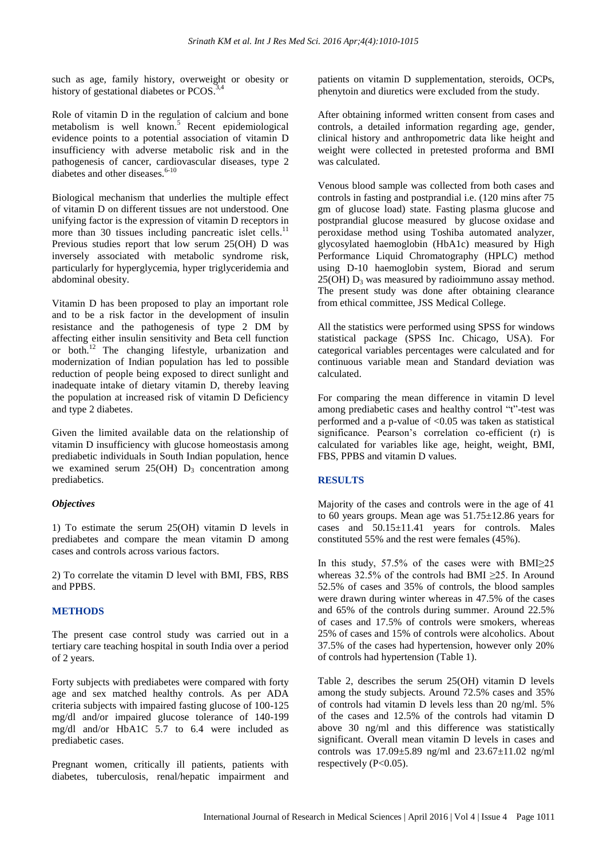such as age, family history, overweight or obesity or history of gestational diabetes or PCOS.<sup>3,4</sup>

Role of vitamin D in the regulation of calcium and bone metabolism is well known. <sup>5</sup> Recent epidemiological evidence points to a potential association of vitamin D insufficiency with adverse metabolic risk and in the pathogenesis of cancer, cardiovascular diseases, type 2 diabetes and other diseases.<sup>6-10</sup>

Biological mechanism that underlies the multiple effect of vitamin D on different tissues are not understood. One unifying factor is the expression of vitamin D receptors in more than 30 tissues including pancreatic islet cells.<sup>11</sup> Previous studies report that low serum 25(OH) D was inversely associated with metabolic syndrome risk, particularly for hyperglycemia, hyper triglyceridemia and abdominal obesity.

Vitamin D has been proposed to play an important role and to be a risk factor in the development of insulin resistance and the pathogenesis of type 2 DM by affecting either insulin sensitivity and Beta cell function or both. <sup>12</sup> The changing lifestyle, urbanization and modernization of Indian population has led to possible reduction of people being exposed to direct sunlight and inadequate intake of dietary vitamin D, thereby leaving the population at increased risk of vitamin D Deficiency and type 2 diabetes.

Given the limited available data on the relationship of vitamin D insufficiency with glucose homeostasis among prediabetic individuals in South Indian population, hence we examined serum  $25(OH)$  D<sub>3</sub> concentration among prediabetics.

### *Objectives*

1) To estimate the serum 25(OH) vitamin D levels in prediabetes and compare the mean vitamin D among cases and controls across various factors.

2) To correlate the vitamin D level with BMI, FBS, RBS and PPBS.

### **METHODS**

The present case control study was carried out in a tertiary care teaching hospital in south India over a period of 2 years.

Forty subjects with prediabetes were compared with forty age and sex matched healthy controls. As per ADA criteria subjects with impaired fasting glucose of 100-125 mg/dl and/or impaired glucose tolerance of 140-199 mg/dl and/or HbA1C 5.7 to 6.4 were included as prediabetic cases.

Pregnant women, critically ill patients, patients with diabetes, tuberculosis, renal/hepatic impairment and patients on vitamin D supplementation, steroids, OCPs, phenytoin and diuretics were excluded from the study.

After obtaining informed written consent from cases and controls, a detailed information regarding age, gender, clinical history and anthropometric data like height and weight were collected in pretested proforma and BMI was calculated.

Venous blood sample was collected from both cases and controls in fasting and postprandial i.e. (120 mins after 75 gm of glucose load) state. Fasting plasma glucose and postprandial glucose measured by glucose oxidase and peroxidase method using Toshiba automated analyzer, glycosylated haemoglobin (HbA1c) measured by High Performance Liquid Chromatography (HPLC) method using D-10 haemoglobin system, Biorad and serum  $25(OH) D<sub>3</sub>$  was measured by radioimmuno assay method. The present study was done after obtaining clearance from ethical committee, JSS Medical College.

All the statistics were performed using SPSS for windows statistical package (SPSS Inc. Chicago, USA). For categorical variables percentages were calculated and for continuous variable mean and Standard deviation was calculated.

For comparing the mean difference in vitamin D level among prediabetic cases and healthy control "t"-test was performed and a p-value of <0.05 was taken as statistical significance. Pearson's correlation co-efficient (r) is calculated for variables like age, height, weight, BMI, FBS, PPBS and vitamin D values.

### **RESULTS**

Majority of the cases and controls were in the age of 41 to 60 years groups. Mean age was 51.75±12.86 years for cases and 50.15±11.41 years for controls. Males constituted 55% and the rest were females (45%).

In this study, 57.5% of the cases were with BMI≥25 whereas 32.5% of the controls had BMI ≥25. In Around 52.5% of cases and 35% of controls, the blood samples were drawn during winter whereas in 47.5% of the cases and 65% of the controls during summer. Around 22.5% of cases and 17.5% of controls were smokers, whereas 25% of cases and 15% of controls were alcoholics. About 37.5% of the cases had hypertension, however only 20% of controls had hypertension (Table 1).

Table 2, describes the serum 25(OH) vitamin D levels among the study subjects. Around 72.5% cases and 35% of controls had vitamin D levels less than 20 ng/ml. 5% of the cases and 12.5% of the controls had vitamin D above 30 ng/ml and this difference was statistically significant. Overall mean vitamin D levels in cases and controls was  $17.09 \pm 5.89$  ng/ml and  $23.67 \pm 11.02$  ng/ml respectively (P<0.05).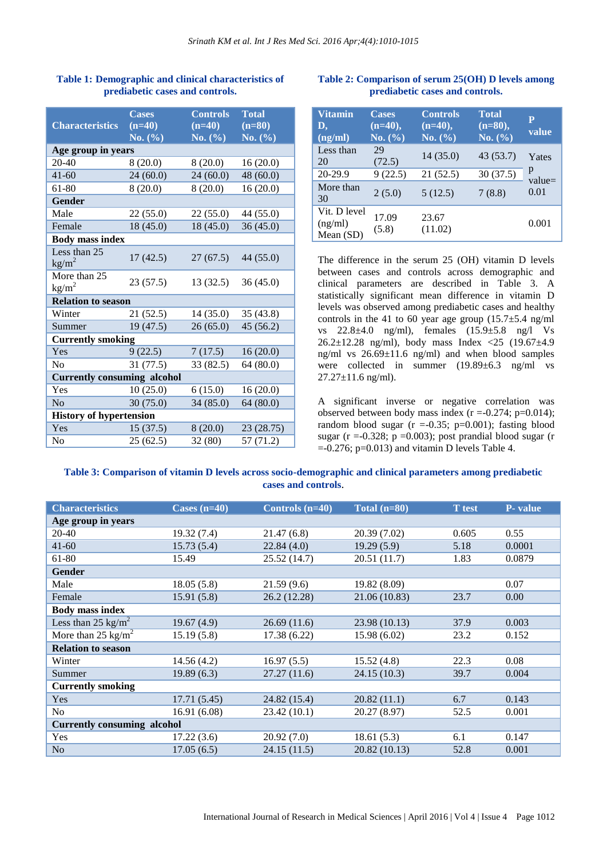| <b>Characteristics</b>             | <b>Cases</b><br>$(n=40)$              | <b>Controls</b><br>$(n=40)$ | <b>Total</b><br>$(n=80)$              |  |  |
|------------------------------------|---------------------------------------|-----------------------------|---------------------------------------|--|--|
|                                    | <b>No.</b> $\left(\frac{9}{6}\right)$ | <b>No.</b> $(\% )$          | <b>No.</b> $\left(\frac{9}{6}\right)$ |  |  |
| Age group in years                 |                                       |                             |                                       |  |  |
| 20-40                              | 8(20.0)                               | 8(20.0)                     | 16(20.0)                              |  |  |
| $41 - 60$                          | 24(60.0)                              | 24(60.0)                    | 48(60.0)                              |  |  |
| 61-80                              | 8(20.0)                               | 8(20.0)                     | 16(20.0)                              |  |  |
| Gender                             |                                       |                             |                                       |  |  |
| Male                               | 22(55.0)                              | 22(55.0)                    | 44(55.0)                              |  |  |
| Female                             | 18(45.0)                              | 18(45.0)                    | 36(45.0)                              |  |  |
| <b>Body mass index</b>             |                                       |                             |                                       |  |  |
| Less than 25<br>$\text{kg/m}^2$    | 17(42.5)                              | 27(67.5)                    | 44 (55.0)                             |  |  |
| More than 25<br>$\text{kg/m}^2$    | 23(57.5)                              | 13(32.5)                    | 36(45.0)                              |  |  |
| <b>Relation to season</b>          |                                       |                             |                                       |  |  |
| Winter                             | 21(52.5)                              | 14(35.0)                    | 35(43.8)                              |  |  |
| Summer                             | 19(47.5)                              | 26(65.0)                    | 45 (56.2)                             |  |  |
| <b>Currently smoking</b>           |                                       |                             |                                       |  |  |
| Yes                                | 9(22.5)                               | 7(17.5)                     | 16(20.0)                              |  |  |
| No                                 | 31(77.5)                              | 33 (82.5)                   | 64 (80.0)                             |  |  |
| <b>Currently consuming alcohol</b> |                                       |                             |                                       |  |  |
| Yes                                | 10(25.0)                              | 6(15.0)                     | 16(20.0)                              |  |  |
| No                                 | 30(75.0)                              | 34(85.0)                    | 64(80.0)                              |  |  |
| <b>History of hypertension</b>     |                                       |                             |                                       |  |  |
| Yes                                | 15(37.5)                              | 8(20.0)                     | 23 (28.75)                            |  |  |
| No                                 | 25(62.5)                              | 32 (80)                     | 57 (71.2)                             |  |  |

## **Table 1: Demographic and clinical characteristics of prediabetic cases and controls.**

## **Table 2: Comparison of serum 25(OH) D levels among prediabetic cases and controls.**

| <b>Vitamin</b><br>D,<br>(ng/ml)      | <b>Cases</b><br>$(n=40),$<br>No. (%) | <b>Controls</b><br>$(n=40),$<br>No. (%) | <b>Total</b><br>$(n=80),$<br>No. $(\% )$ | $\overline{\mathbf{P}}$<br>value |
|--------------------------------------|--------------------------------------|-----------------------------------------|------------------------------------------|----------------------------------|
| Less than<br>20                      | 29<br>(72.5)                         | 14 (35.0)                               | 43 (53.7)                                | Yates                            |
| $20 - 29.9$                          | 9(22.5)                              | 21(52.5)                                | 30(37.5)                                 | p<br>$value =$                   |
| More than<br>30                      | 2(5.0)                               | 5(12.5)                                 | 7(8.8)                                   | 0.01                             |
| Vit. D level<br>(ng/ml)<br>Mean (SD) | 17.09<br>(5.8)                       | 23.67<br>(11.02)                        |                                          | 0.001                            |

The difference in the serum 25 (OH) vitamin D levels between cases and controls across demographic and clinical parameters are described in Table 3. A statistically significant mean difference in vitamin D levels was observed among prediabetic cases and healthy controls in the 41 to 60 year age group  $(15.7 \pm 5.4 \text{ ng/ml})$ vs 22.8±4.0 ng/ml), females (15.9±5.8 ng/l Vs 26.2±12.28 ng/ml), body mass Index <25 (19.67±4.9 ng/ml vs 26.69±11.6 ng/ml) and when blood samples were collected in summer (19.89±6.3 ng/ml vs  $27.27 \pm 11.6$  ng/ml).

A significant inverse or negative correlation was observed between body mass index  $(r = -0.274; p = 0.014)$ ; random blood sugar  $(r = 0.35; p = 0.001)$ ; fasting blood sugar ( $r = -0.328$ ;  $p = 0.003$ ); post prandial blood sugar ( $r = 0.328$ ;  $p = 0.003$ ); post prandial blood sugar  $= -0.276$ ; p=0.013) and vitamin D levels Table 4.

## **Table 3: Comparison of vitamin D levels across socio-demographic and clinical parameters among prediabetic cases and controls**.

| <b>Characteristics</b>             | Cases $(n=40)$ | Controls (n=40) | Total $(n=80)$ | <b>T</b> test | P- value |
|------------------------------------|----------------|-----------------|----------------|---------------|----------|
| Age group in years                 |                |                 |                |               |          |
| 20-40                              | 19.32 (7.4)    | 21.47(6.8)      | 20.39 (7.02)   | 0.605         | 0.55     |
| $41 - 60$                          | 15.73(5.4)     | 22.84(4.0)      | 19.29(5.9)     | 5.18          | 0.0001   |
| 61-80                              | 15.49          | 25.52 (14.7)    | 20.51 (11.7)   | 1.83          | 0.0879   |
| Gender                             |                |                 |                |               |          |
| Male                               | 18.05(5.8)     | 21.59(9.6)      | 19.82 (8.09)   |               | 0.07     |
| Female                             | 15.91(5.8)     | 26.2 (12.28)    | 21.06 (10.83)  | 23.7          | 0.00     |
| <b>Body mass index</b>             |                |                 |                |               |          |
| Less than 25 kg/m <sup>2</sup>     | 19.67(4.9)     | 26.69(11.6)     | 23.98 (10.13)  | 37.9          | 0.003    |
| More than $25 \text{ kg/m}^2$      | 15.19(5.8)     | 17.38 (6.22)    | 15.98 (6.02)   | 23.2          | 0.152    |
| <b>Relation to season</b>          |                |                 |                |               |          |
| Winter                             | 14.56(4.2)     | 16.97(5.5)      | 15.52(4.8)     | 22.3          | 0.08     |
| Summer                             | 19.89(6.3)     | 27.27(11.6)     | 24.15 (10.3)   | 39.7          | 0.004    |
| <b>Currently smoking</b>           |                |                 |                |               |          |
| <b>Yes</b>                         | 17.71(5.45)    | 24.82 (15.4)    | 20.82(11.1)    | 6.7           | 0.143    |
| N <sub>o</sub>                     | 16.91(6.08)    | 23.42(10.1)     | 20.27 (8.97)   | 52.5          | 0.001    |
| <b>Currently consuming alcohol</b> |                |                 |                |               |          |
| Yes                                | 17.22(3.6)     | 20.92(7.0)      | 18.61(5.3)     | 6.1           | 0.147    |
| N <sub>o</sub>                     | 17.05(6.5)     | 24.15(11.5)     | 20.82 (10.13)  | 52.8          | 0.001    |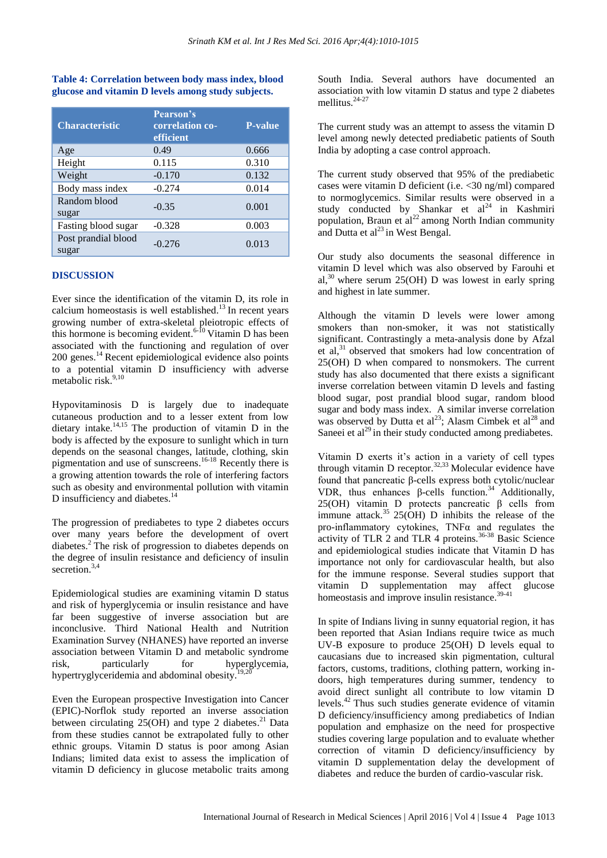## **Table 4: Correlation between body mass index, blood glucose and vitamin D levels among study subjects.**

| <b>Characteristic</b>        | <b>Pearson's</b><br>correlation co-<br>efficient | <b>P-value</b> |
|------------------------------|--------------------------------------------------|----------------|
| Age                          | 0.49                                             | 0.666          |
| Height                       | 0.115                                            | 0.310          |
| Weight                       | $-0.170$                                         | 0.132          |
| Body mass index              | $-0.274$                                         | 0.014          |
| Random blood<br>sugar        | $-0.35$                                          | 0.001          |
| Fasting blood sugar          | $-0.328$                                         | 0.003          |
| Post prandial blood<br>sugar | $-0.276$                                         | 0.013          |

### **DISCUSSION**

Ever since the identification of the vitamin D, its role in calcium homeostasis is well established. <sup>13</sup> In recent years growing number of extra-skeletal pleiotropic effects of this hormone is becoming evident.<sup>6-10</sup> Vitamin D has been associated with the functioning and regulation of over 200 genes. <sup>14</sup> Recent epidemiological evidence also points to a potential vitamin D insufficiency with adverse metabolic risk. 9,10

Hypovitaminosis D is largely due to inadequate cutaneous production and to a lesser extent from low dietary intake. 14,15 The production of vitamin D in the body is affected by the exposure to sunlight which in turn depends on the seasonal changes, latitude, clothing, skin pigmentation and use of sunscreens. 16-18 Recently there is a growing attention towards the role of interfering factors such as obesity and environmental pollution with vitamin D insufficiency and diabetes.<sup>14</sup>

The progression of prediabetes to type 2 diabetes occurs over many years before the development of overt diabetes. <sup>2</sup> The risk of progression to diabetes depends on the degree of insulin resistance and deficiency of insulin secretion. 3,4

Epidemiological studies are examining vitamin D status and risk of hyperglycemia or insulin resistance and have far been suggestive of inverse association but are inconclusive. Third National Health and Nutrition Examination Survey (NHANES) have reported an inverse association between Vitamin D and metabolic syndrome risk, particularly for hyperglycemia, hypertryglyceridemia and abdominal obesity.<sup>19,20</sup>

Even the European prospective Investigation into Cancer (EPIC)-Norflok study reported an inverse association between circulating  $25(OH)$  and type 2 diabetes.<sup>21</sup> Data from these studies cannot be extrapolated fully to other ethnic groups. Vitamin D status is poor among Asian Indians; limited data exist to assess the implication of vitamin D deficiency in glucose metabolic traits among South India. Several authors have documented an association with low vitamin D status and type 2 diabetes mellitus. 24-27

The current study was an attempt to assess the vitamin D level among newly detected prediabetic patients of South India by adopting a case control approach.

The current study observed that 95% of the prediabetic cases were vitamin D deficient (i.e. <30 ng/ml) compared to normoglycemics. Similar results were observed in a study conducted by Shankar et  $al<sup>24</sup>$  in Kashmiri population, Braun et  $al^{22}$  among North Indian community and Dutta et  $al^{23}$  in West Bengal.

Our study also documents the seasonal difference in vitamin D level which was also observed by Farouhi et al, $30$  where serum 25(OH) D was lowest in early spring and highest in late summer.

Although the vitamin D levels were lower among smokers than non-smoker, it was not statistically significant. Contrastingly a meta-analysis done by Afzal et al, <sup>31</sup> observed that smokers had low concentration of 25(OH) D when compared to nonsmokers. The current study has also documented that there exists a significant inverse correlation between vitamin D levels and fasting blood sugar, post prandial blood sugar, random blood sugar and body mass index. A similar inverse correlation was observed by Dutta et  $al^{23}$ ; Alasm Cimbek et  $al^{28}$  and Saneei et al<sup>29</sup> in their study conducted among prediabetes.

Vitamin D exerts it's action in a variety of cell types through vitamin D receptor. $32,33$  Molecular evidence have found that pancreatic β-cells express both cytolic/nuclear VDR, thus enhances β-cells function.<sup>34</sup> Additionally, 25(OH) vitamin D protects pancreatic  $β$  cells from immune attack.<sup>35</sup> 25(OH) D inhibits the release of the pro-inflammatory cytokines, TNFα and regulates the activity of TLR  $2$  and TLR  $4$  proteins.<sup>36-38</sup> Basic Science and epidemiological studies indicate that Vitamin D has importance not only for cardiovascular health, but also for the immune response. Several studies support that vitamin D supplementation may affect glucose homeostasis and improve insulin resistance.<sup>39-41</sup>

In spite of Indians living in sunny equatorial region, it has been reported that Asian Indians require twice as much UV-B exposure to produce 25(OH) D levels equal to caucasians due to increased skin pigmentation, cultural factors, customs, traditions, clothing pattern, working indoors, high temperatures during summer, tendency to avoid direct sunlight all contribute to low vitamin D levels. <sup>42</sup> Thus such studies generate evidence of vitamin D deficiency/insufficiency among prediabetics of Indian population and emphasize on the need for prospective studies covering large population and to evaluate whether correction of vitamin D deficiency/insufficiency by vitamin D supplementation delay the development of diabetes and reduce the burden of cardio-vascular risk.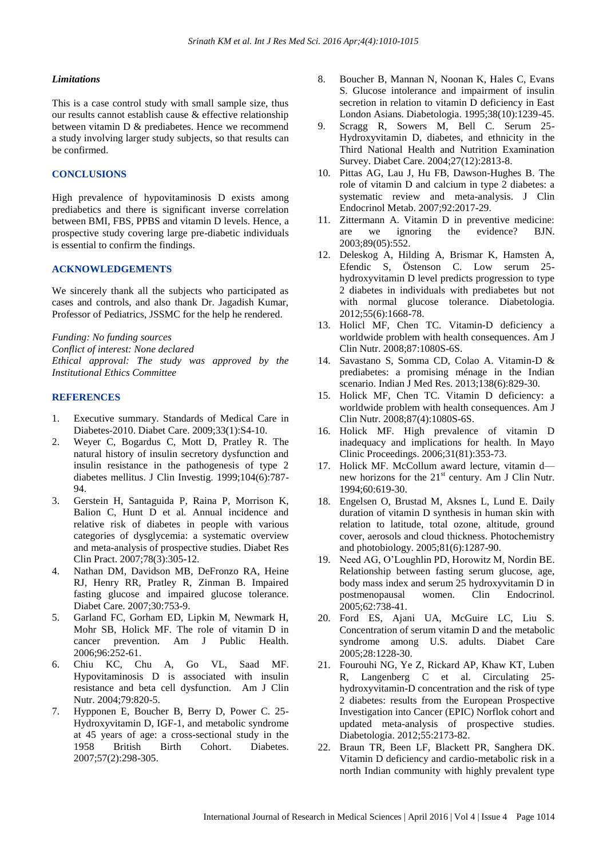#### *Limitations*

This is a case control study with small sample size, thus our results cannot establish cause & effective relationship between vitamin D & prediabetes. Hence we recommend a study involving larger study subjects, so that results can be confirmed.

#### **CONCLUSIONS**

High prevalence of hypovitaminosis D exists among prediabetics and there is significant inverse correlation between BMI, FBS, PPBS and vitamin D levels. Hence, a prospective study covering large pre-diabetic individuals is essential to confirm the findings.

#### **ACKNOWLEDGEMENTS**

We sincerely thank all the subjects who participated as cases and controls, and also thank Dr. Jagadish Kumar, Professor of Pediatrics, JSSMC for the help he rendered.

*Funding: No funding sources Conflict of interest: None declared Ethical approval: The study was approved by the Institutional Ethics Committee*

#### **REFERENCES**

- 1. Executive summary. Standards of Medical Care in Diabetes-2010. Diabet Care. 2009;33(1):S4-10.
- 2. Weyer C, Bogardus C, Mott D, Pratley R. The natural history of insulin secretory dysfunction and insulin resistance in the pathogenesis of type 2 diabetes mellitus. J Clin Investig. 1999;104(6):787- 94.
- 3. Gerstein H, Santaguida P, Raina P, Morrison K, Balion C, Hunt D et al. Annual incidence and relative risk of diabetes in people with various categories of dysglycemia: a systematic overview and meta-analysis of prospective studies. Diabet Res Clin Pract. 2007;78(3):305-12.
- 4. Nathan DM, Davidson MB, DeFronzo RA, Heine RJ, Henry RR, Pratley R, Zinman B. Impaired fasting glucose and impaired glucose tolerance. Diabet Care. 2007;30:753-9.
- 5. Garland FC, Gorham ED, Lipkin M, Newmark H, Mohr SB, Holick MF. The role of vitamin D in cancer prevention. Am J Public Health. 2006;96:252-61.
- 6. Chiu KC, Chu A, Go VL, Saad MF. Hypovitaminosis D is associated with insulin resistance and beta cell dysfunction. Am J Clin Nutr. 2004;79:820-5.
- 7. Hypponen E, Boucher B, Berry D, Power C. 25- Hydroxyvitamin D, IGF-1, and metabolic syndrome at 45 years of age: a cross-sectional study in the 1958 British Birth Cohort. Diabetes. 2007;57(2):298-305.
- 8. Boucher B, Mannan N, Noonan K, Hales C, Evans S. Glucose intolerance and impairment of insulin secretion in relation to vitamin D deficiency in East London Asians. Diabetologia. 1995;38(10):1239-45.
- 9. Scragg R, Sowers M, Bell C. Serum 25- Hydroxyvitamin D, diabetes, and ethnicity in the Third National Health and Nutrition Examination Survey. Diabet Care. 2004;27(12):2813-8.
- 10. Pittas AG, Lau J, Hu FB, Dawson-Hughes B. The role of vitamin D and calcium in type 2 diabetes: a systematic review and meta-analysis. J Clin Endocrinol Metab. 2007;92:2017-29.
- 11. Zittermann A. Vitamin D in preventive medicine: are we ignoring the evidence? BJN. 2003;89(05):552.
- 12. Deleskog A, Hilding A, Brismar K, Hamsten A, Efendic S, Östenson C. Low serum 25 hydroxyvitamin D level predicts progression to type 2 diabetes in individuals with prediabetes but not with normal glucose tolerance. Diabetologia. 2012;55(6):1668-78.
- 13. Holicl MF, Chen TC. Vitamin-D deficiency a worldwide problem with health consequences. Am J Clin Nutr. 2008;87:1080S-6S.
- 14. Savastano S, Somma CD, Colao A. Vitamin-D & prediabetes: a promising ménage in the Indian scenario. Indian J Med Res. 2013;138(6):829-30.
- 15. Holick MF, Chen TC. Vitamin D deficiency: a worldwide problem with health consequences. Am J Clin Nutr. 2008;87(4):1080S-6S.
- 16. Holick MF. High prevalence of vitamin D inadequacy and implications for health. In Mayo Clinic Proceedings. 2006;31(81):353-73.
- 17. Holick MF. McCollum award lecture, vitamin d new horizons for the  $21<sup>st</sup>$  century. Am J Clin Nutr. 1994;60:619-30.
- 18. Engelsen O, Brustad M, Aksnes L, Lund E. Daily duration of vitamin D synthesis in human skin with relation to latitude, total ozone, altitude, ground cover, aerosols and cloud thickness. Photochemistry and photobiology. 2005;81(6):1287-90.
- 19. Need AG, O'Loughlin PD, Horowitz M, Nordin BE. Relationship between fasting serum glucose, age, body mass index and serum 25 hydroxyvitamin D in postmenopausal women. Clin Endocrinol. 2005;62:738-41.
- 20. Ford ES, Ajani UA, McGuire LC, Liu S. Concentration of serum vitamin D and the metabolic syndrome among U.S. adults. Diabet Care 2005;28:1228-30.
- 21. Fourouhi NG, Ye Z, Rickard AP, Khaw KT, Luben R, Langenberg C et al. Circulating 25 hydroxyvitamin-D concentration and the risk of type 2 diabetes: results from the European Prospective Investigation into Cancer (EPIC) Norflok cohort and updated meta-analysis of prospective studies. Diabetologia. 2012;55:2173-82.
- 22. Braun TR, Been LF, Blackett PR, Sanghera DK. Vitamin D deficiency and cardio-metabolic risk in a north Indian community with highly prevalent type